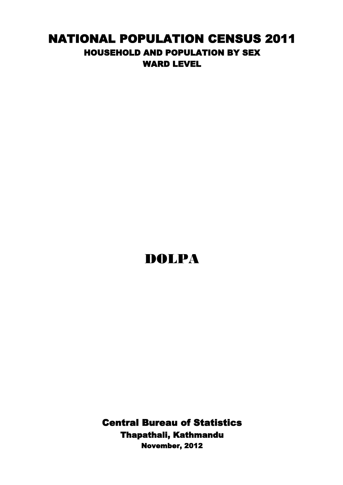## NATIONAL POPULATION CENSUS 2011 HOUSEHOLD AND POPULATION BY SEX WARD LEVEL

## DOLPA

Central Bureau of Statistics Thapathali, Kathmandu November, 2012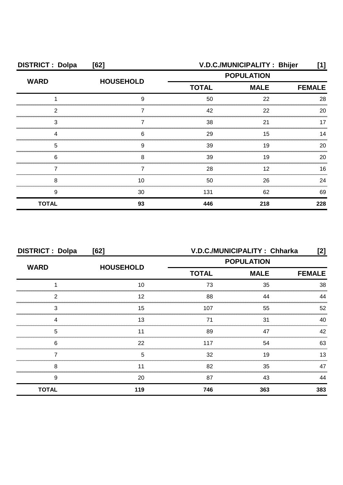| <b>DISTRICT: Dolpa</b> | [62]             | V.D.C./MUNICIPALITY: Bhijer<br>[1] |               |     |
|------------------------|------------------|------------------------------------|---------------|-----|
| <b>WARD</b>            | <b>HOUSEHOLD</b> | <b>POPULATION</b>                  |               |     |
|                        |                  | <b>TOTAL</b>                       | <b>FEMALE</b> |     |
|                        | a                | 50                                 | 22            | 28  |
| ົ                      |                  | 42                                 | 22            | 20  |
| 3                      |                  | 38                                 | 21            |     |
|                        | 6                | 29                                 | 15            | 14  |
| 5                      | 9                | 39                                 | 19            | 20  |
| 6                      | 8                | 39                                 | 19            | 20  |
|                        |                  | 28                                 | 12            | 16  |
| 8                      | 10               | 50                                 | 26            | 24  |
| 9                      | 30               | 131                                | 62            | 69  |
| <b>TOTAL</b>           | 93               | 446                                | 218           | 228 |

| <b>DISTRICT: Dolpa</b><br>[62] |                  | V.D.C./MUNICIPALITY: Chharka<br>[2] |                   |               |
|--------------------------------|------------------|-------------------------------------|-------------------|---------------|
| <b>WARD</b>                    | <b>HOUSEHOLD</b> |                                     | <b>POPULATION</b> |               |
|                                |                  | <b>TOTAL</b>                        | <b>MALE</b>       | <b>FEMALE</b> |
|                                | 10               | 73                                  | 35                | 38            |
| 2                              | 12               | 88                                  | ΔΔ                |               |
| 3                              | 15               | 107                                 | 55                | 52            |
|                                | 13               | 71                                  | 31                | 40            |
| 5                              |                  | 89                                  | 47                | 42            |
| 6                              | 22               | 117                                 | 54                | 63            |
|                                | 5                | 32                                  | 19                | 13            |
| 8                              |                  | 82                                  | 35                | 47            |
| 9                              | 20               | 87                                  | 43                | 44            |
| <b>TOTAL</b>                   | 119              | 746                                 | 363               | 383           |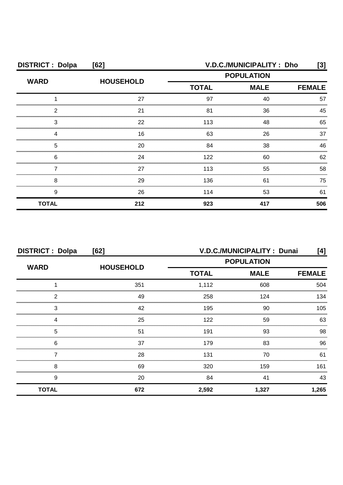| <b>DISTRICT: Dolpa</b> | [62]             | V.D.C./MUNICIPALITY: Dho<br>[3] |                   |               |
|------------------------|------------------|---------------------------------|-------------------|---------------|
| <b>WARD</b>            | <b>HOUSEHOLD</b> |                                 | <b>POPULATION</b> |               |
|                        |                  | <b>TOTAL</b><br><b>MALE</b>     |                   | <b>FEMALE</b> |
|                        | 27               | 97                              | 40                | 57            |
| ◠                      | 21               | 81                              | 36                | 45            |
| З                      | 22               | 113                             | 48                | 65            |
|                        | 16               | 63                              | 26                | 37            |
| 5                      | 20               | 84                              | 38                | 46            |
| 6                      | 24               | 122                             | 60                | 62            |
|                        | 27               | 113                             | 55                | 58            |
| 8                      | 29               | 136                             | 61                | 75            |
| 9                      | 26               | 114                             | 53                | 61            |
| <b>TOTAL</b>           | 212              | 923                             | 417               | 506           |

| <b>DISTRICT: Dolpa</b><br>[62] |                  | V.D.C./MUNICIPALITY: Dunai<br>[4] |             |               |
|--------------------------------|------------------|-----------------------------------|-------------|---------------|
| <b>WARD</b>                    | <b>HOUSEHOLD</b> | <b>POPULATION</b>                 |             |               |
|                                |                  | <b>TOTAL</b>                      | <b>MALE</b> | <b>FEMALE</b> |
|                                | 351              | 1,112                             | 608         | 504           |
| 2                              | 49               | 258                               | 124         | 134           |
| 3                              | 42               | 195                               | 90          | 105           |
|                                | 25               | 122                               | 59          | 63            |
| 5                              | 51               | 191                               | 93          | 98            |
| 6                              | 37               | 179                               | 83          | 96            |
|                                | 28               | 131                               | 70          | 61            |
| 8                              | 69               | 320                               | 159         | 161           |
| 9                              | 20               | 84                                | 41          | 43            |
| <b>TOTAL</b>                   | 672              | 2,592                             | 1,327       | 1,265         |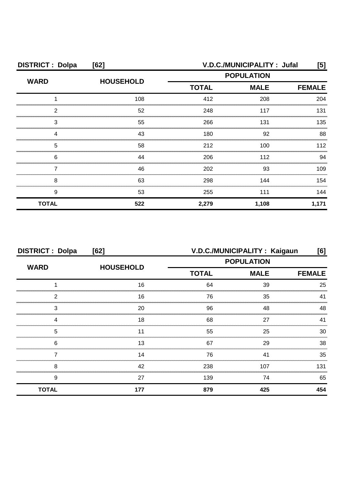| <b>DISTRICT: Dolpa</b> | [62]             | V.D.C./MUNICIPALITY: Jufal                                                                 |       |               |
|------------------------|------------------|--------------------------------------------------------------------------------------------|-------|---------------|
| <b>WARD</b>            | <b>HOUSEHOLD</b> | <b>POPULATION</b><br><b>MALE</b><br><b>TOTAL</b><br>412<br>208<br>248<br>117<br>266<br>131 |       |               |
|                        |                  |                                                                                            |       | <b>FEMALE</b> |
|                        | 108              |                                                                                            |       | 204           |
| 2                      | 52               |                                                                                            |       | 131           |
| З                      | 55               |                                                                                            |       | 135           |
|                        | 43               | 180                                                                                        | 92    | 88            |
| 5                      | 58               | 212                                                                                        | 100   | 112           |
| 6                      | 44               | 206                                                                                        | 112   | 94            |
|                        | 46               | 202                                                                                        | 93    | 109           |
| 8                      | 63               | 298                                                                                        | 144   | 154           |
| 9                      | 53               | 255                                                                                        | 111   | 144           |
| <b>TOTAL</b>           | 522              | 2,279                                                                                      | 1,108 | 1,171         |

| <b>DISTRICT: Dolpa</b><br>[62] |                  | V.D.C./MUNICIPALITY : Kaigaun<br>[6] |     |               |
|--------------------------------|------------------|--------------------------------------|-----|---------------|
| <b>WARD</b>                    | <b>HOUSEHOLD</b> | <b>POPULATION</b>                    |     |               |
|                                |                  | <b>TOTAL</b><br><b>MALE</b>          |     | <b>FEMALE</b> |
|                                | 16               | 64                                   | 39  | 25            |
| າ                              | 16               | 76                                   | 35  | 41            |
| 3                              | 20               | 96                                   | 48  | 48            |
|                                | 18               | 68                                   | 27  | 41            |
| 5                              |                  | 55                                   | 25  | 30            |
| 6                              | 13               | 67                                   | 29  | 38            |
|                                | 14               | 76                                   | 41  | 35            |
| 8                              | 42               | 238                                  | 107 | 131           |
| 9                              | 27               | 139                                  | 74  | 65            |
| <b>TOTAL</b>                   | 177              | 879                                  | 425 | 454           |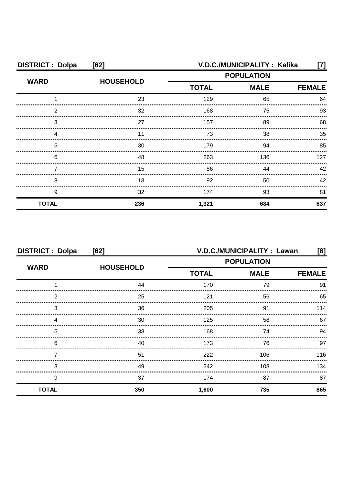| <b>DISTRICT: Dolpa</b> | [62]             | V.D.C./MUNICIPALITY: Kalika<br>[7] |     |               |
|------------------------|------------------|------------------------------------|-----|---------------|
| <b>WARD</b>            | <b>HOUSEHOLD</b> | <b>POPULATION</b>                  |     |               |
|                        |                  | <b>TOTAL</b><br><b>MALE</b>        |     | <b>FEMALE</b> |
|                        | 23               | 129                                | 65  | 64            |
| っ                      | 32               | 168                                | 75  | 93            |
| 3                      | 27               | 157                                | 89  | 68            |
|                        |                  | 73                                 | 38  | 35            |
| 5                      | 30               | 179                                | 94  | 85            |
| 6                      | 48               | 263                                | 136 | 127           |
|                        | 15               | 86                                 | 44  | 42            |
| 8                      | 18               | 92                                 | 50  | 42            |
| 9                      | 32               | 174                                | 93  | 81            |
| <b>TOTAL</b>           | 236              | 1,321                              | 684 | 637           |

| <b>DISTRICT: Dolpa</b><br>[62] |                  | V.D.C./MUNICIPALITY : Lawan<br>[8] |             |               |
|--------------------------------|------------------|------------------------------------|-------------|---------------|
| <b>WARD</b>                    |                  | <b>POPULATION</b>                  |             |               |
|                                | <b>HOUSEHOLD</b> | <b>TOTAL</b>                       | <b>MALE</b> | <b>FEMALE</b> |
|                                | 44               | 170                                | 79          | 91            |
| 2                              | 25               | 121                                | 56          | 65            |
| 3                              | 36               | 205                                | 91          | 114           |
|                                | 30               | 125                                | 58          | 67            |
| 5                              | 38               | 168                                | 74          | 94            |
| 6                              | 40               | 173                                | 76          | 97            |
|                                | 51               | 222                                | 106         | 116           |
| 8                              | 49               | 242                                | 108         | 134           |
| 9                              | 37               | 174                                | 87          | 87            |
| <b>TOTAL</b>                   | 350              | 1,600                              | 735         | 865           |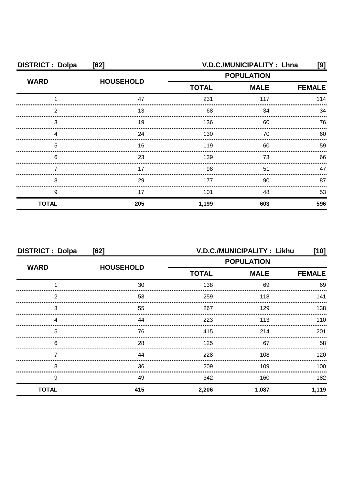| <b>DISTRICT: Dolpa</b> | [62]             | V.D.C./MUNICIPALITY: Lhna<br>[9] |                              |     |
|------------------------|------------------|----------------------------------|------------------------------|-----|
| <b>WARD</b>            | <b>HOUSEHOLD</b> |                                  | <b>POPULATION</b>            |     |
|                        |                  | <b>TOTAL</b>                     | <b>MALE</b><br><b>FEMALE</b> |     |
|                        | 47               | 231                              | 117                          | 114 |
| 2                      | 13               | 68                               | 34                           | 34  |
| 3                      | 19               | 136                              | 60                           | 76  |
|                        | 24               | 130                              | 70                           | 60  |
| 5                      | 16               | 119                              | 60                           | 59  |
| 6                      | 23               | 139                              | 73                           | 66  |
|                        | 17               | 98                               | 51                           | 47  |
| 8                      | 29               | 177                              | 90                           | 87  |
| 9                      | 17               | 101                              | 48                           | 53  |
| <b>TOTAL</b>           | 205              | 1,199                            | 603                          | 596 |

| <b>DISTRICT: Dolpa</b><br>[62] |                  | V.D.C./MUNICIPALITY: Likhu<br>[10] |       |               |
|--------------------------------|------------------|------------------------------------|-------|---------------|
| <b>WARD</b>                    | <b>HOUSEHOLD</b> | <b>POPULATION</b>                  |       |               |
|                                |                  | <b>MALE</b><br><b>TOTAL</b>        |       | <b>FEMALE</b> |
|                                | 30               | 138                                | 69    | 69            |
| 2                              | 53               | 259                                | 118   | 141           |
| 3                              | 55               | 267                                | 129   | 138           |
|                                | 44               | 223                                | 113   | 110           |
| 5                              | 76               | 415                                | 214   | 201           |
| 6                              | 28               | 125                                | 67    | 58            |
|                                | 44               | 228                                | 108   | 120           |
| 8                              | 36               | 209                                | 109   | 100           |
| 9                              | 49               | 342                                | 160   | 182           |
| <b>TOTAL</b>                   | 415              | 2,206                              | 1,087 | 1,119         |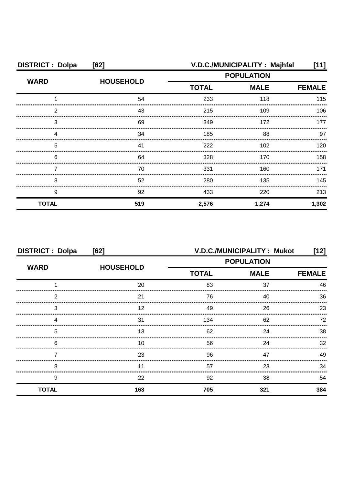| <b>DISTRICT: Dolpa</b> | [62]             | V.D.C./MUNICIPALITY: Majhfal<br>[11] |             |               |
|------------------------|------------------|--------------------------------------|-------------|---------------|
| <b>WARD</b>            | <b>HOUSEHOLD</b> | <b>POPULATION</b>                    |             |               |
|                        |                  | <b>TOTAL</b>                         | <b>MALE</b> | <b>FEMALE</b> |
|                        | 54               | 233                                  | 118         | 115           |
| 2                      | 43               | 215                                  | 109         | 106           |
| З                      | 69               | 349                                  | 172         | 177           |
|                        | 34               | 185                                  | 88          | 97            |
| 5                      | 41               | 222                                  | 102         | 120           |
| 6                      | 64               | 328                                  | 170         | 158.          |
|                        | 70               | 331                                  | 160         | 171           |
| 8                      | 52               | 280                                  | 135         | 145           |
| 9                      | 92               | 433                                  | 220         | 213           |
| <b>TOTAL</b>           | 519              | 2,576                                | 1,274       | 1,302         |

| <b>DISTRICT: Dolpa</b><br>[62] |                  |                             | V.D.C./MUNICIPALITY: Mukot | [12] |
|--------------------------------|------------------|-----------------------------|----------------------------|------|
| <b>WARD</b>                    |                  | <b>POPULATION</b>           |                            |      |
|                                | <b>HOUSEHOLD</b> | <b>TOTAL</b><br><b>MALE</b> | <b>FEMALE</b>              |      |
|                                | 20               | 83                          | 37                         | 46   |
| 2                              | 21               | 76                          | 40                         | 36   |
| 3                              | 12               | 49                          | 26                         | 23   |
|                                | 31               | 134                         | 62                         | 72   |
| 5                              | 13               | 62                          | 24                         | 38   |
| 6                              | 10               | 56                          | 24                         | 32   |
|                                | 23               | 96                          | 47                         | 49   |
| 8                              |                  | 57                          | 23                         | 34   |
| 9                              | 22               | 92                          | 38                         | 54   |
| <b>TOTAL</b>                   | 163              | 705                         | 321                        | 384  |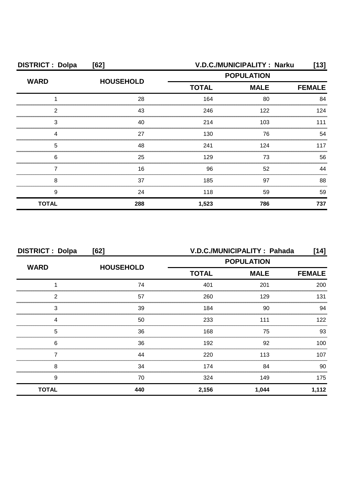| <b>DISTRICT: Dolpa</b> | [62]             |                   | V.D.C./MUNICIPALITY : Narku | [13]          |
|------------------------|------------------|-------------------|-----------------------------|---------------|
| <b>WARD</b>            | <b>HOUSEHOLD</b> | <b>POPULATION</b> |                             |               |
|                        |                  | <b>TOTAL</b>      | <b>MALE</b>                 | <b>FEMALE</b> |
|                        | 28               | 164               | 80                          | 84            |
| 2                      | 43               | 246               | 122                         | 124           |
| З                      | 40               | 214               | 103                         | 111           |
|                        | 27               | 130               | 76                          | 54            |
| 5                      | 48               | 241               | 124                         | 117           |
| 6                      | 25               | 129               | 73                          | 56            |
|                        | 16               | 96                | 52                          | ΔΔ            |
| 8                      | 37               | 185               | 97                          | 88            |
| 9                      | 24               | 118               | 59                          | 59            |
| <b>TOTAL</b>           | 288              | 1,523             | 786                         | 737           |

| <b>DISTRICT: Dolpa</b><br>[62]       |                  | V.D.C./MUNICIPALITY : Pahada<br>[14] |               |       |
|--------------------------------------|------------------|--------------------------------------|---------------|-------|
| <b>WARD</b><br>2<br>3<br>Δ<br>5<br>6 |                  | <b>POPULATION</b>                    |               |       |
|                                      | <b>HOUSEHOLD</b> | <b>TOTAL</b><br><b>MALE</b>          | <b>FEMALE</b> |       |
|                                      | 74               | 401                                  | 201           | 200   |
|                                      | 57               | 260                                  | 129           | 131   |
|                                      | 39               | 184                                  | 90            | 94    |
|                                      | 50               | 233                                  | 111           | 122   |
|                                      | 36               | 168                                  | 75            | 93    |
|                                      | 36               | 192                                  | 92            | 100   |
|                                      | 44               | 220                                  | 113           | 107   |
| 8                                    | 34               | 174                                  | 84            | 90    |
| 9                                    | 70               | 324                                  | 149           | 175   |
| <b>TOTAL</b>                         | 440              | 2,156                                | 1,044         | 1,112 |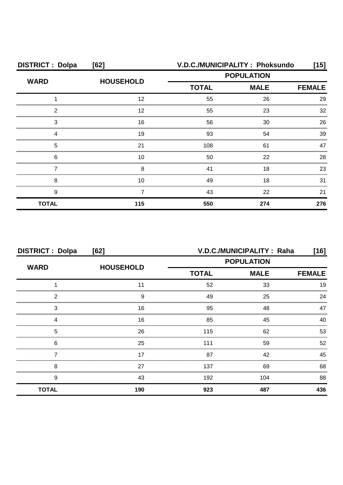| <b>DISTRICT: Dolpa</b> | [62]             | V.D.C./MUNICIPALITY: Phoksundo                   |     | [15]          |
|------------------------|------------------|--------------------------------------------------|-----|---------------|
| <b>WARD</b>            | <b>HOUSEHOLD</b> | <b>POPULATION</b><br><b>MALE</b><br><b>TOTAL</b> |     |               |
|                        |                  |                                                  |     | <b>FEMALE</b> |
|                        | 12               | 55                                               | 26  | 29            |
| ົ                      | 12               | 55                                               | 23  | 32            |
| 3                      | 16               | 56                                               | 30  | 26            |
|                        | 19               | 93                                               | 54  | 39            |
| 5                      | 21               | 108                                              | 61  | 47            |
| 6                      | 10               | 50                                               | 22  | 28            |
|                        | 8                | 41                                               | 18  | 23            |
| 8                      | 10               | 49                                               | 18  | 31            |
| 9                      |                  | 43                                               | 22  | 21            |
| <b>TOTAL</b>           | 115              | 550                                              | 274 | 276           |

| <b>DISTRICT: Dolpa</b><br>[62] |                  |                             | V.D.C./MUNICIPALITY: Raha | [16]          |
|--------------------------------|------------------|-----------------------------|---------------------------|---------------|
| <b>WARD</b>                    | <b>HOUSEHOLD</b> | <b>POPULATION</b>           |                           |               |
|                                |                  | <b>TOTAL</b><br><b>MALE</b> |                           | <b>FEMALE</b> |
|                                |                  | 52                          | 33                        | 19            |
| っ                              | 9                | 49                          | 25                        | 24            |
| 3                              | 16               | 95                          | 48                        |               |
|                                | 16               | 85                          | 45                        | 40            |
| 5                              | 26               | 115                         | 62                        | 53            |
| 6                              | 25               | 111                         | 59                        | 52            |
|                                | 17               | 87                          | 42                        | 45            |
| 8                              | 27               | 137                         | 69                        | 68            |
| 9                              | 43               | 192                         | 104                       | 88            |
| <b>TOTAL</b>                   | 190              | 923                         | 487                       | 436           |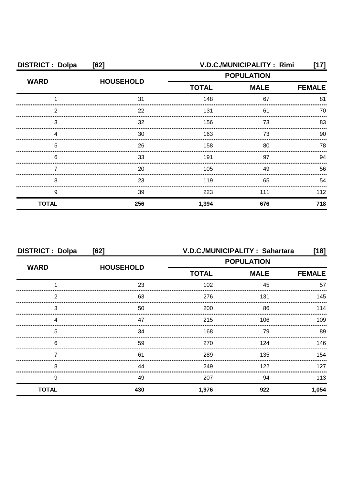| <b>DISTRICT: Dolpa</b> | [62]             | V.D.C./MUNICIPALITY: Rimi |             |               |
|------------------------|------------------|---------------------------|-------------|---------------|
| <b>WARD</b>            | <b>HOUSEHOLD</b> | <b>POPULATION</b>         |             |               |
|                        |                  | <b>TOTAL</b>              | <b>MALE</b> | <b>FEMALE</b> |
|                        | 31               | 148                       | 67          | 81            |
| 2                      | 22               | 131                       | 61          | 70            |
| З                      | 32               | 156                       | 73          | 83            |
|                        | 30               | 163                       | 73          | 90            |
| 5                      | 26               | 158                       | 80          | 78            |
| 6                      | 33               | 191                       | 97          | .94           |
|                        | 20               | 105                       | 49          | 56            |
| 8                      | 23               | 119                       | 65          | 54            |
| 9                      | 39               | 223                       | 111         | 112           |
| <b>TOTAL</b>           | 256              | 1,394                     | 676         | 718           |

| <b>DISTRICT: Dolpa</b><br>[62] |                  | V.D.C./MUNICIPALITY: Sahartara<br>$[18]$ |             |               |
|--------------------------------|------------------|------------------------------------------|-------------|---------------|
| <b>WARD</b>                    |                  | <b>POPULATION</b>                        |             |               |
|                                | <b>HOUSEHOLD</b> | <b>TOTAL</b>                             | <b>MALE</b> | <b>FEMALE</b> |
|                                | 23               | 102                                      | 45          | 57            |
| 2                              | 63               | 276                                      | 131         | 145           |
| 3                              | 50               | 200                                      | 86          | 114           |
| Δ                              | 47               | 215                                      | 106         | 109           |
| 5                              | 34               | 168                                      | 79          | 89            |
| 6                              | 59               | 270                                      | 124         | 146           |
|                                | 61               | 289                                      | 135         | 154           |
| 8                              | 44               | 249                                      | 122         | 127           |
| 9                              | 49               | 207                                      | 94          | 113           |
| <b>TOTAL</b>                   | 430              | 1,976                                    | 922         | 1,054         |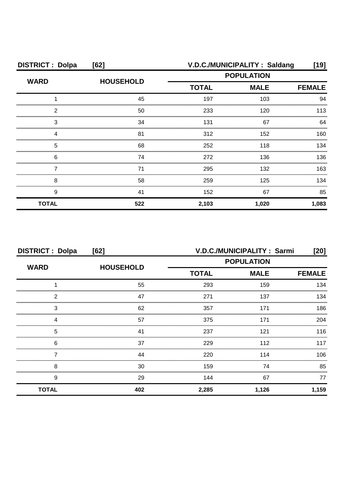| <b>DISTRICT: Dolpa</b> | [62]             |                                                                                                  | V.D.C./MUNICIPALITY: Saldang | [19]  |
|------------------------|------------------|--------------------------------------------------------------------------------------------------|------------------------------|-------|
| <b>WARD</b>            | <b>HOUSEHOLD</b> | <b>POPULATION</b>                                                                                |                              |       |
|                        |                  | <b>TOTAL</b><br><b>MALE</b><br>197<br>103<br>120<br>233<br>131<br>67<br>312<br>152<br>118<br>252 | <b>FEMALE</b>                |       |
|                        | 45               |                                                                                                  |                              | 94    |
| 2                      | 50               |                                                                                                  |                              | 113   |
| З                      | 34               |                                                                                                  |                              | 64    |
|                        | 81               |                                                                                                  |                              | 160   |
| 5                      | 68               |                                                                                                  |                              | 134   |
| 6                      | 74               | 272                                                                                              | 136                          | 136.  |
|                        | 71               | 295                                                                                              | 132                          | 163   |
| 8                      | 58               | 259                                                                                              | 125                          | 134   |
| 9                      | 41               | 152                                                                                              | 67                           | 85    |
| <b>TOTAL</b>           | 522              | 2,103                                                                                            | 1,020                        | 1,083 |

| <b>DISTRICT: Dolpa</b><br>[62] |                  | V.D.C./MUNICIPALITY: Sarmi<br>[20] |             |               |
|--------------------------------|------------------|------------------------------------|-------------|---------------|
|                                |                  | <b>POPULATION</b>                  |             |               |
| <b>WARD</b>                    | <b>HOUSEHOLD</b> | <b>TOTAL</b>                       | <b>MALE</b> | <b>FEMALE</b> |
|                                | 55               | 293                                | 159         | 134           |
| 2                              | 47               | 271                                | 137         | 134           |
| 3                              | 62               | 357                                | 171         | 186           |
| 4                              | 57               | 375                                | 171         | 204           |
| 5                              | 41               | 237                                | 121         | 116           |
| 6                              | 37               | 229                                | 112         | 117           |
|                                | 44               | 220                                | 114         | 106           |
| 8                              | 30               | 159                                | 74          | 85            |
| 9                              | 29               | 144                                | 67          | 77            |
| <b>TOTAL</b>                   | 402              | 2,285                              | 1,126       | 1,159         |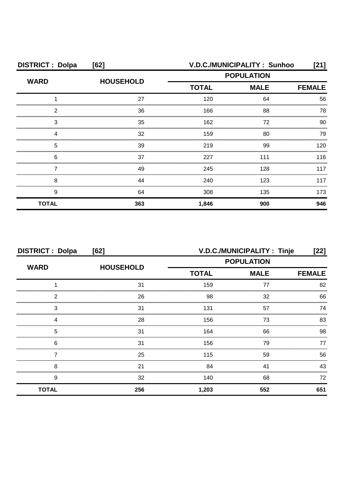| <b>DISTRICT: Dolpa</b> | [62]             |                                                  | V.D.C./MUNICIPALITY: Sunhoo | [21]          |
|------------------------|------------------|--------------------------------------------------|-----------------------------|---------------|
| <b>WARD</b>            | <b>HOUSEHOLD</b> | <b>POPULATION</b><br><b>TOTAL</b><br><b>MALE</b> |                             |               |
|                        |                  |                                                  |                             | <b>FEMALE</b> |
|                        | 27               | 120                                              | 64                          | 56            |
| 2                      | 36               | 166                                              | 88                          | 78            |
| 3                      | 35               | 162                                              | 72                          | 90            |
|                        | 32               | 159                                              | 80                          | 79            |
| 5                      | 39               | 219                                              | 99                          | 120           |
| 6                      | 37               | 227                                              | 111                         | 116           |
|                        | 49               | 245                                              | 128                         | 117           |
| 8                      | 44               | 240                                              | 123                         | 117           |
| 9                      | 64               | 308                                              | 135                         | 173           |
| <b>TOTAL</b>           | 363              | 1,846                                            | 900                         | 946           |

| <b>DISTRICT: Dolpa</b><br>[62] |                  |                   | V.D.C./MUNICIPALITY: Tinje | [22]          |
|--------------------------------|------------------|-------------------|----------------------------|---------------|
|                                | <b>HOUSEHOLD</b> | <b>POPULATION</b> |                            |               |
| <b>WARD</b><br>າ<br>3          |                  | <b>TOTAL</b>      | <b>MALE</b>                | <b>FEMALE</b> |
|                                | 31               | 159               | 77                         | 82            |
|                                | 26               | 98                | 32                         | 66            |
|                                | 31               | 131               | 57                         | 74            |
|                                | 28               | 156               | 73                         | 83            |
| 5                              | 31               | 164               | 66                         | 98            |
| 6                              | 31               | 156               | 79                         | 77            |
|                                | 25               | 115               | 59                         | 56            |
| 8                              | 21               | 84                | 41                         | 43            |
| 9                              | 32               | 140               | 68                         | 72            |
| <b>TOTAL</b>                   | 256              | 1,203             | 552                        | 651           |